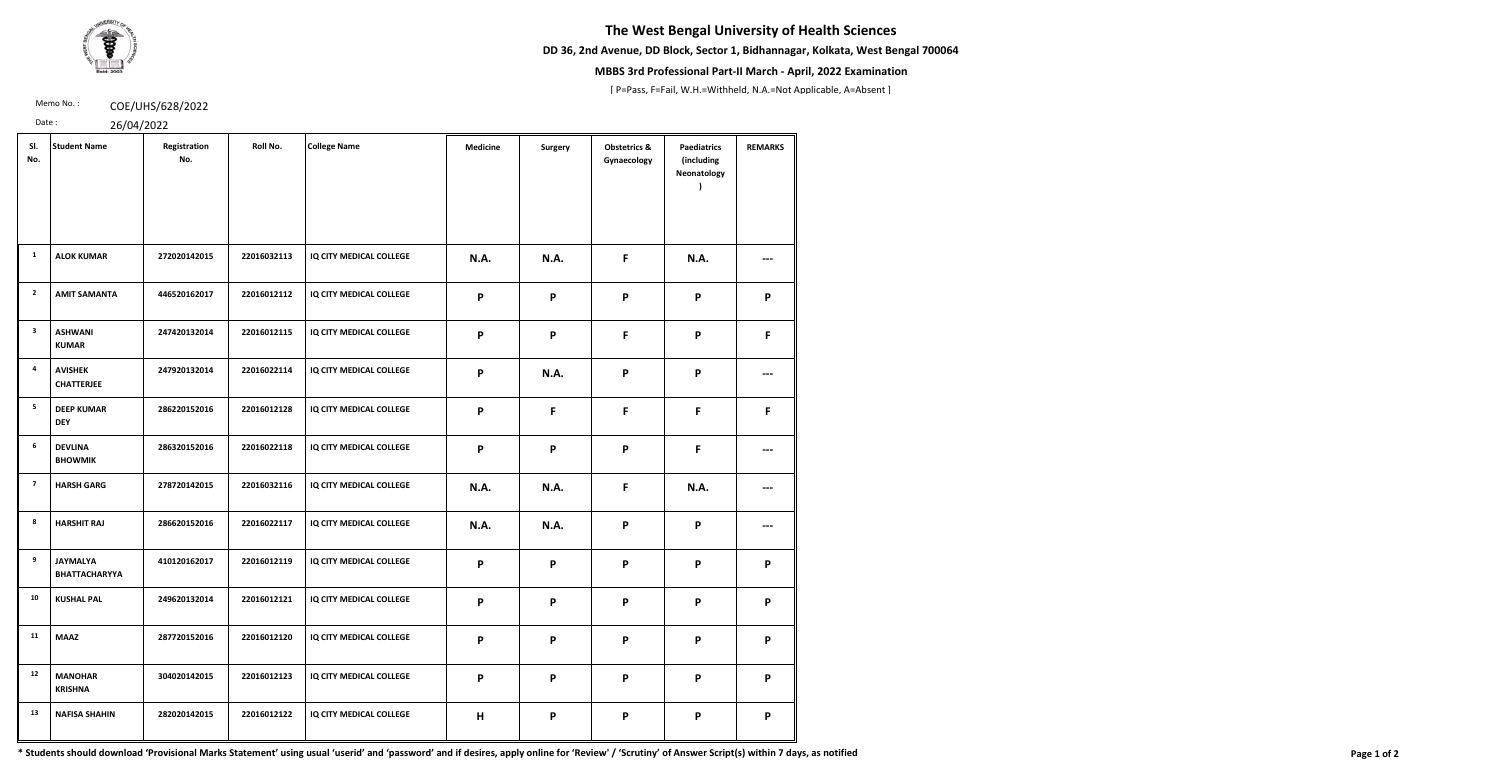# **The West Bengal University of Health Sciences**

**DD 36, 2nd Avenue, DD Block, Sector 1, Bidhannagar, Kolkata, West Bengal 700064**



### **MBBS 3rd Professional Part-II March - April, 2022 Examination**

[ P=Pass, F=Fail, W.H.=Withheld, N.A.=Not Applicable, A=Absent ]

Memo No.: **COE/UHS/628/2022** 

Date : 26/04/2022

| SI.<br>No.              | <b>Student Name</b>                 | Registration<br>No. | Roll No.    | <b>College Name</b>     | <b>Medicine</b> | <b>Surgery</b> | <b>Obstetrics &amp;</b><br>Gynaecology | <b>Paediatrics</b><br>(including<br>Neonatology | <b>REMARKS</b> |
|-------------------------|-------------------------------------|---------------------|-------------|-------------------------|-----------------|----------------|----------------------------------------|-------------------------------------------------|----------------|
| $\mathbf{1}$            | <b>ALOK KUMAR</b>                   | 272020142015        | 22016032113 | IQ CITY MEDICAL COLLEGE | N.A.            | N.A.           | F                                      | <b>N.A.</b>                                     | ---            |
| $\overline{2}$          | <b>AMIT SAMANTA</b>                 | 446520162017        | 22016012112 | IQ CITY MEDICAL COLLEGE | P               | P              | $\mathsf{P}$                           | $\mathsf{P}$                                    | P              |
| $\overline{\mathbf{3}}$ | <b>ASHWANI</b><br><b>KUMAR</b>      | 247420132014        | 22016012115 | IQ CITY MEDICAL COLLEGE | P               | P              | F                                      | P                                               | F              |
| 4                       | <b>AVISHEK</b><br><b>CHATTERJEE</b> | 247920132014        | 22016022114 | IQ CITY MEDICAL COLLEGE | P               | <b>N.A.</b>    | $\boldsymbol{\mathsf{P}}$              | P                                               |                |
| 5                       | <b>DEEP KUMAR</b><br><b>DEY</b>     | 286220152016        | 22016012128 | IQ CITY MEDICAL COLLEGE | P               | F              | $\mathsf F$                            | F                                               | F              |
| 6                       | <b>DEVLINA</b><br><b>BHOWMIK</b>    | 286320152016        | 22016022118 | IQ CITY MEDICAL COLLEGE | P               | P              | $\boldsymbol{\mathsf{P}}$              | F                                               |                |
| $\overline{\mathbf{z}}$ | <b>HARSH GARG</b>                   | 278720142015        | 22016032116 | IQ CITY MEDICAL COLLEGE | N.A.            | <b>N.A.</b>    | F                                      | N.A.                                            | ---            |
| 8                       | <b>HARSHIT RAJ</b>                  | 286620152016        | 22016022117 | IQ CITY MEDICAL COLLEGE | N.A.            | <b>N.A.</b>    | $\boldsymbol{\mathsf{P}}$              | P                                               | ---            |
| 9                       | <b>JAYMALYA</b><br>BHATTACHARYYA    | 410120162017        | 22016012119 | IQ CITY MEDICAL COLLEGE | P               | P              | P                                      | P                                               | P              |
| 10                      | <b>KUSHAL PAL</b>                   | 249620132014        | 22016012121 | IQ CITY MEDICAL COLLEGE | P               | P              | $\boldsymbol{\mathsf{P}}$              | P                                               | P              |
| 11                      | <b>MAAZ</b>                         | 287720152016        | 22016012120 | IQ CITY MEDICAL COLLEGE | P               | P              | P                                      | P                                               | P              |
| 12                      | <b>MANOHAR</b><br><b>KRISHNA</b>    | 304020142015        | 22016012123 | IQ CITY MEDICAL COLLEGE | P               | P              | $\boldsymbol{\mathsf{P}}$              | P                                               | P              |
| 13                      | <b>NAFISA SHAHIN</b>                | 282020142015        | 22016012122 | IQ CITY MEDICAL COLLEGE | H               | P              | P                                      | P                                               | P              |

\* Students should download 'Provisional Marks Statement' using usual 'userid' and 'password' and if desires, apply online for 'Review' / 'Scrutiny' of Answer Script(s) within 7 days, as notified Page 1 of 2